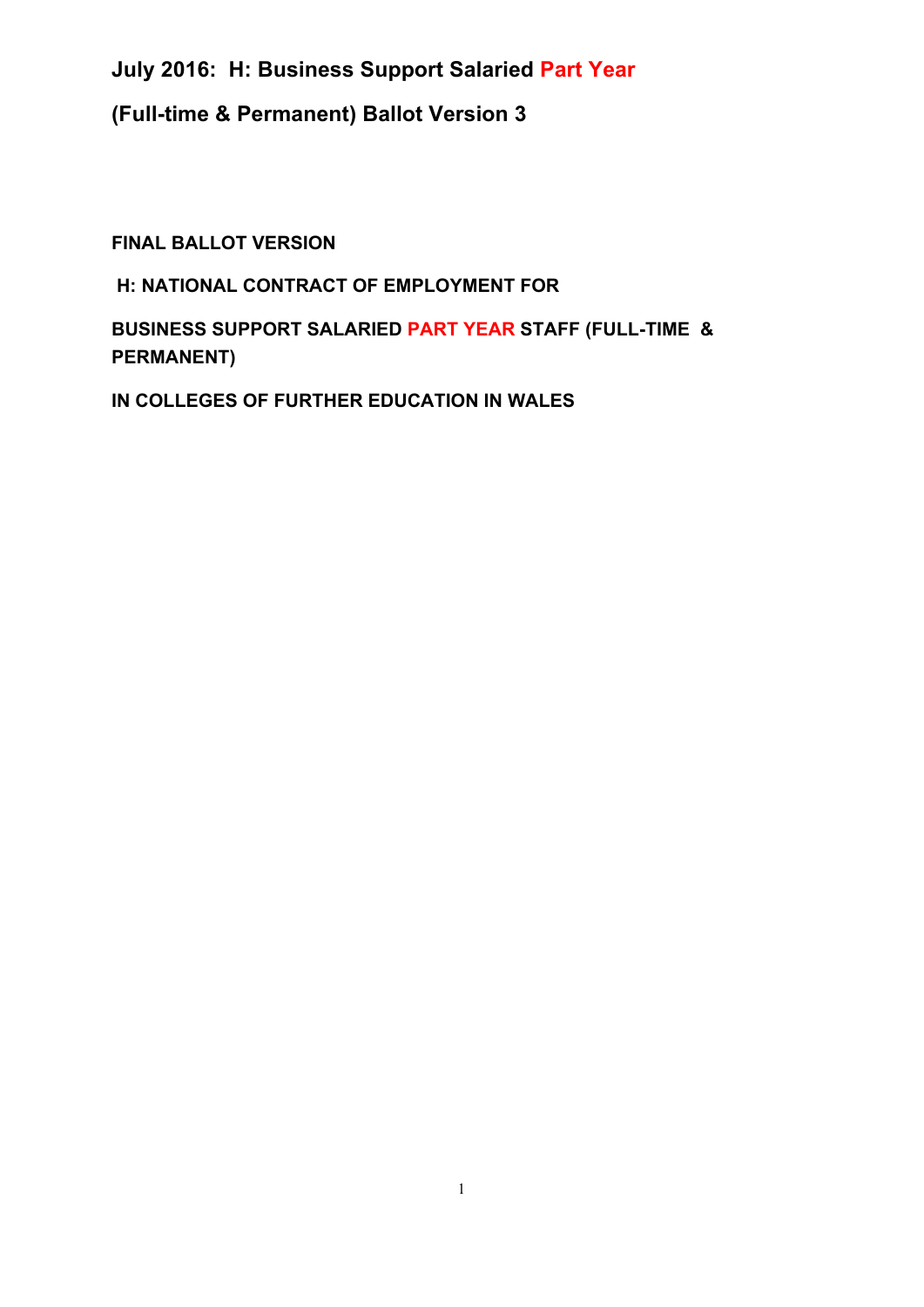### **(Full-time & Permanent) Ballot Version 3**

**FINAL BALLOT VERSION**

### **H: NATIONAL CONTRACT OF EMPLOYMENT FOR**

**BUSINESS SUPPORT SALARIED PART YEAR STAFF (FULL-TIME & PERMANENT)**

**IN COLLEGES OF FURTHER EDUCATION IN WALES**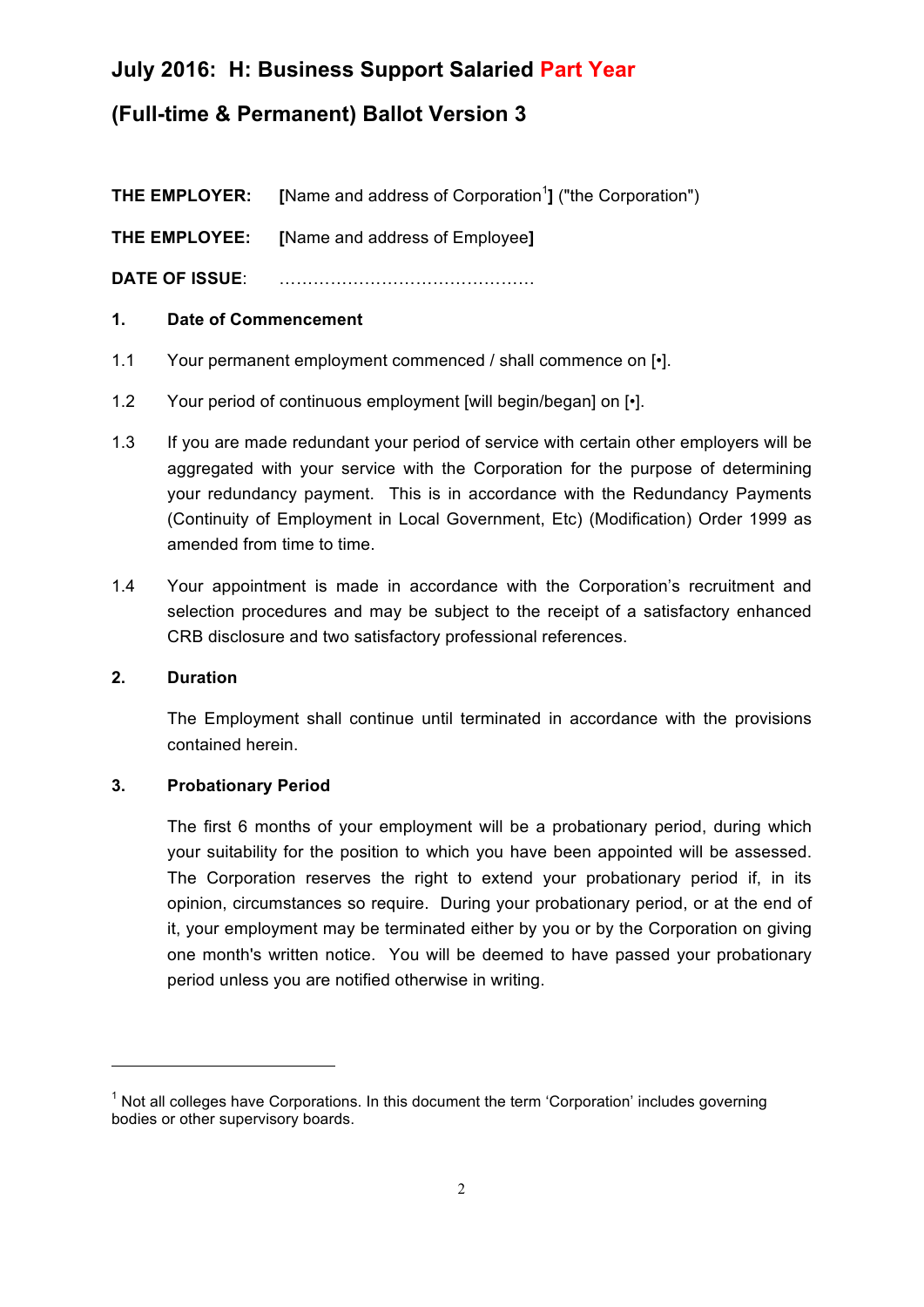### **(Full-time & Permanent) Ballot Version 3**

**THE EMPLOYER:** [Name and address of Corporation<sup>1</sup>] ("the Corporation")

**THE EMPLOYEE: [**Name and address of Employee**]**

**DATE OF ISSUE**: ………………………………………

### **1. Date of Commencement**

- 1.1 Your permanent employment commenced / shall commence on [•].
- 1.2 Your period of continuous employment [will begin/began] on [•].
- 1.3 If you are made redundant your period of service with certain other employers will be aggregated with your service with the Corporation for the purpose of determining your redundancy payment. This is in accordance with the Redundancy Payments (Continuity of Employment in Local Government, Etc) (Modification) Order 1999 as amended from time to time.
- 1.4 Your appointment is made in accordance with the Corporation's recruitment and selection procedures and may be subject to the receipt of a satisfactory enhanced CRB disclosure and two satisfactory professional references.

### **2. Duration**

The Employment shall continue until terminated in accordance with the provisions contained herein.

### **3. Probationary Period**

<u> 1989 - Jan Samuel Barbara, político establecido de la provincia de la provincia de la provincia de la provinci</u>

The first 6 months of your employment will be a probationary period, during which your suitability for the position to which you have been appointed will be assessed. The Corporation reserves the right to extend your probationary period if, in its opinion, circumstances so require. During your probationary period, or at the end of it, your employment may be terminated either by you or by the Corporation on giving one month's written notice. You will be deemed to have passed your probationary period unless you are notified otherwise in writing.

 $<sup>1</sup>$  Not all colleges have Corporations. In this document the term 'Corporation' includes governing</sup> bodies or other supervisory boards.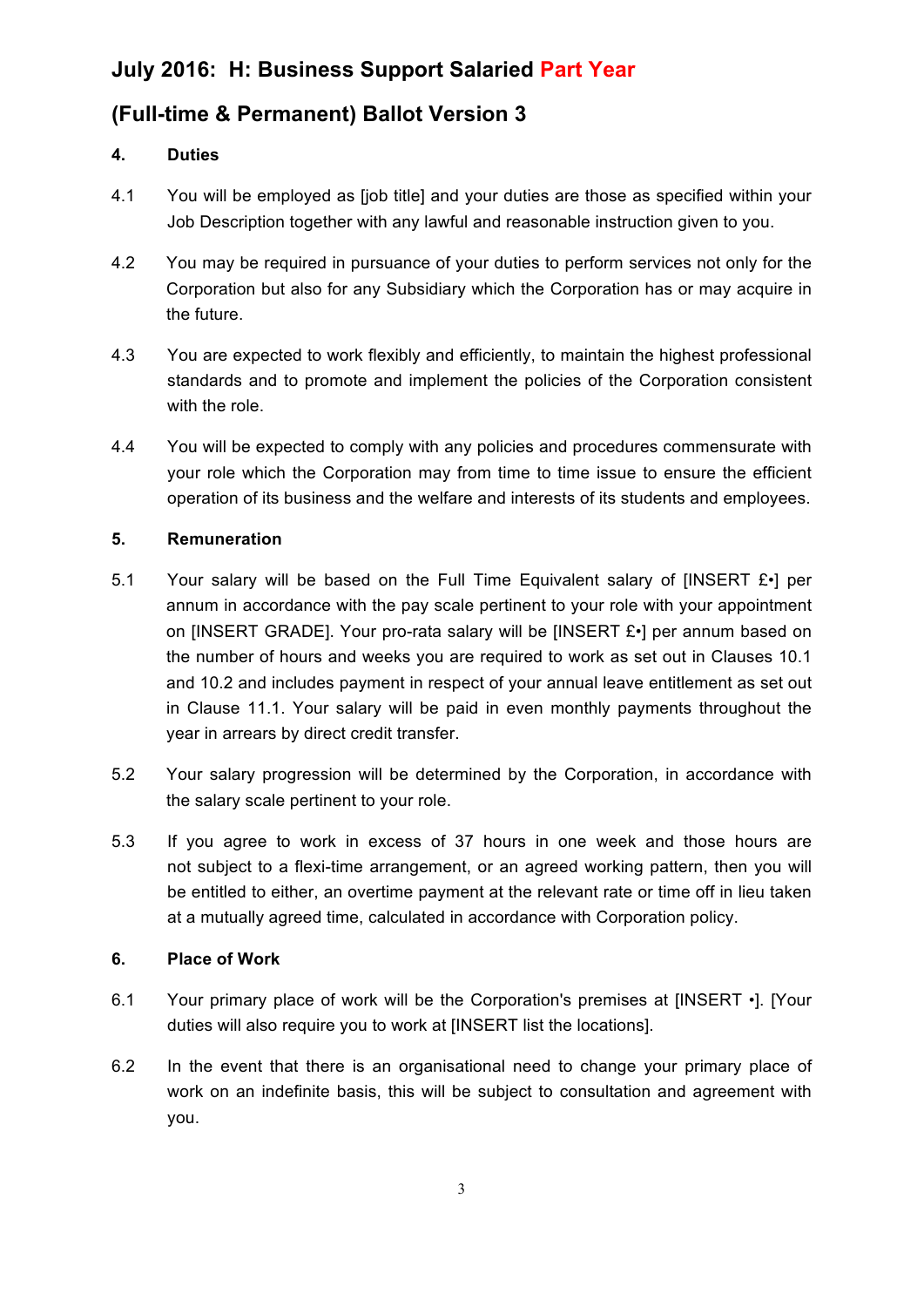### **(Full-time & Permanent) Ballot Version 3**

### **4. Duties**

- 4.1 You will be employed as [job title] and your duties are those as specified within your Job Description together with any lawful and reasonable instruction given to you.
- 4.2 You may be required in pursuance of your duties to perform services not only for the Corporation but also for any Subsidiary which the Corporation has or may acquire in the future.
- 4.3 You are expected to work flexibly and efficiently, to maintain the highest professional standards and to promote and implement the policies of the Corporation consistent with the role.
- 4.4 You will be expected to comply with any policies and procedures commensurate with your role which the Corporation may from time to time issue to ensure the efficient operation of its business and the welfare and interests of its students and employees.

### **5. Remuneration**

- 5.1 Your salary will be based on the Full Time Equivalent salary of [INSERT  $E \cdot$ ] per annum in accordance with the pay scale pertinent to your role with your appointment on [INSERT GRADE]. Your pro-rata salary will be [INSERT £•] per annum based on the number of hours and weeks you are required to work as set out in Clauses 10.1 and 10.2 and includes payment in respect of your annual leave entitlement as set out in Clause 11.1. Your salary will be paid in even monthly payments throughout the year in arrears by direct credit transfer.
- 5.2 Your salary progression will be determined by the Corporation, in accordance with the salary scale pertinent to your role.
- 5.3 If you agree to work in excess of 37 hours in one week and those hours are not subject to a flexi-time arrangement, or an agreed working pattern, then you will be entitled to either, an overtime payment at the relevant rate or time off in lieu taken at a mutually agreed time, calculated in accordance with Corporation policy.

### **6. Place of Work**

- 6.1 Your primary place of work will be the Corporation's premises at [INSERT •]. [Your duties will also require you to work at [INSERT list the locations].
- 6.2 In the event that there is an organisational need to change your primary place of work on an indefinite basis, this will be subject to consultation and agreement with you.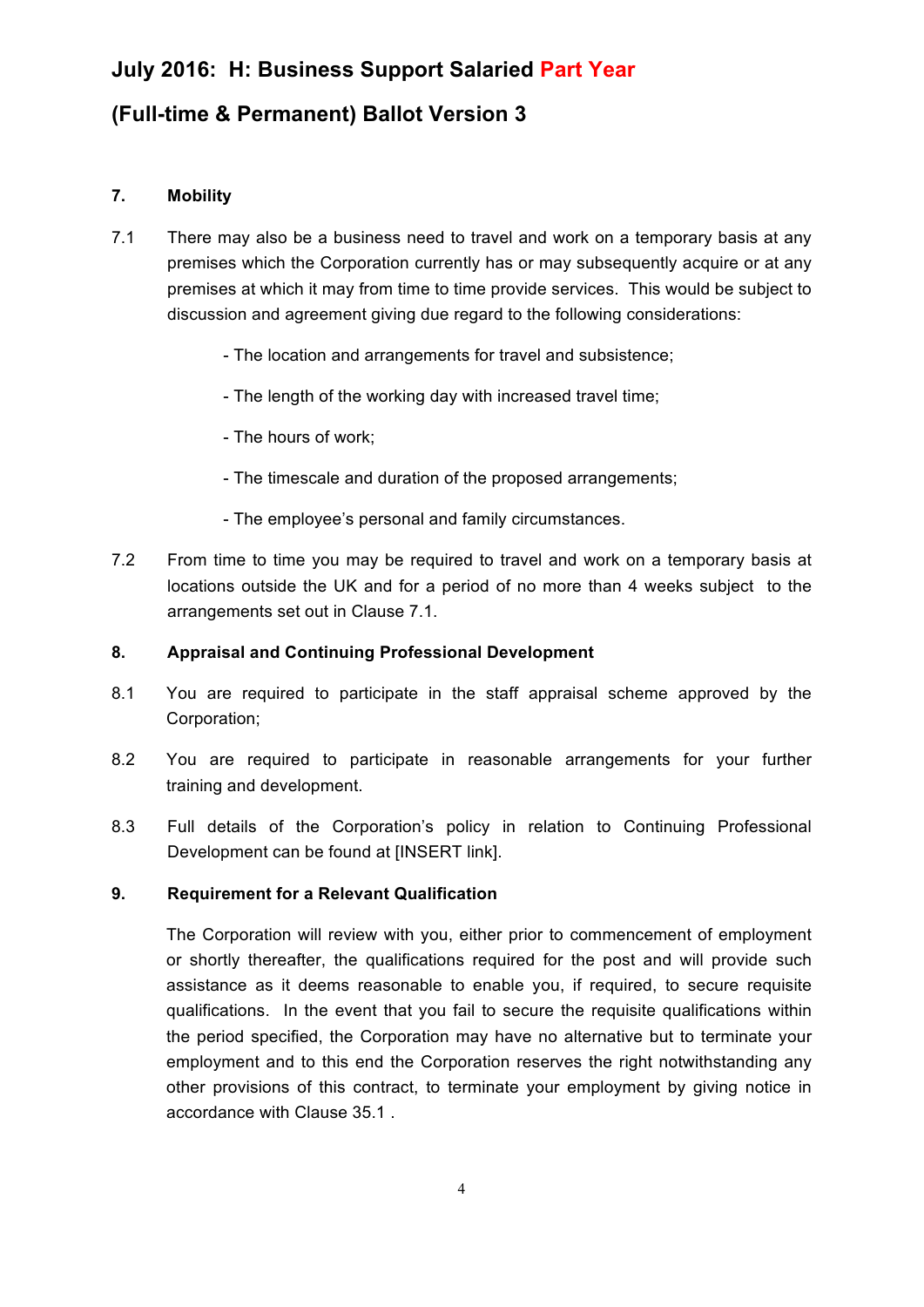### **(Full-time & Permanent) Ballot Version 3**

### **7. Mobility**

- 7.1 There may also be a business need to travel and work on a temporary basis at any premises which the Corporation currently has or may subsequently acquire or at any premises at which it may from time to time provide services. This would be subject to discussion and agreement giving due regard to the following considerations:
	- The location and arrangements for travel and subsistence;
	- The length of the working day with increased travel time;
	- The hours of work;
	- The timescale and duration of the proposed arrangements;
	- The employee's personal and family circumstances.
- 7.2 From time to time you may be required to travel and work on a temporary basis at locations outside the UK and for a period of no more than 4 weeks subject to the arrangements set out in Clause 7.1.

#### **8. Appraisal and Continuing Professional Development**

- 8.1 You are required to participate in the staff appraisal scheme approved by the Corporation;
- 8.2 You are required to participate in reasonable arrangements for your further training and development.
- 8.3 Full details of the Corporation's policy in relation to Continuing Professional Development can be found at [INSERT link].

### **9. Requirement for a Relevant Qualification**

The Corporation will review with you, either prior to commencement of employment or shortly thereafter, the qualifications required for the post and will provide such assistance as it deems reasonable to enable you, if required, to secure requisite qualifications. In the event that you fail to secure the requisite qualifications within the period specified, the Corporation may have no alternative but to terminate your employment and to this end the Corporation reserves the right notwithstanding any other provisions of this contract, to terminate your employment by giving notice in accordance with Clause 35.1 .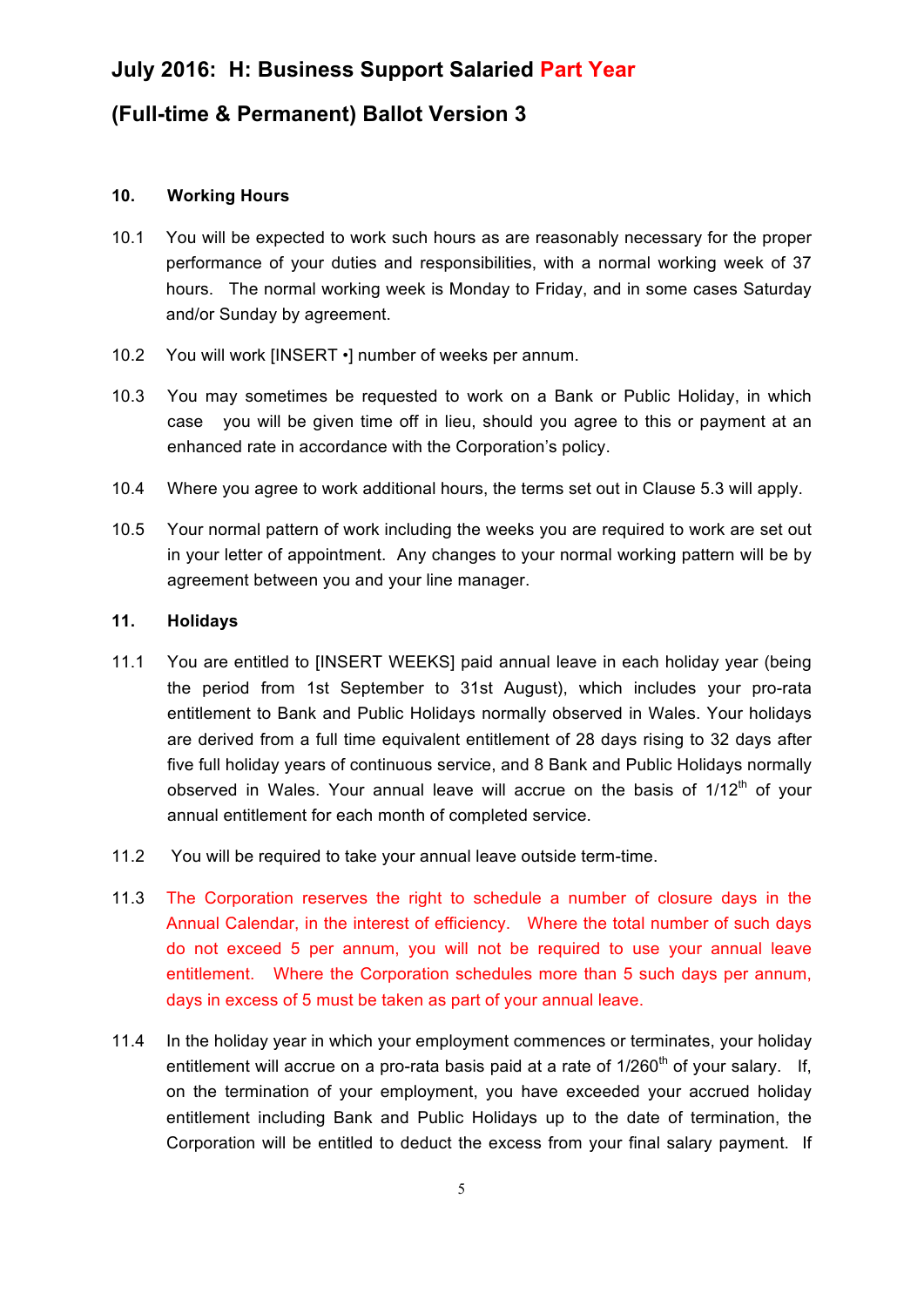### **(Full-time & Permanent) Ballot Version 3**

#### **10. Working Hours**

- 10.1 You will be expected to work such hours as are reasonably necessary for the proper performance of your duties and responsibilities, with a normal working week of 37 hours. The normal working week is Monday to Friday, and in some cases Saturday and/or Sunday by agreement.
- 10.2 You will work [INSERT •] number of weeks per annum.
- 10.3 You may sometimes be requested to work on a Bank or Public Holiday, in which case you will be given time off in lieu, should you agree to this or payment at an enhanced rate in accordance with the Corporation's policy.
- 10.4 Where you agree to work additional hours, the terms set out in Clause 5.3 will apply.
- 10.5 Your normal pattern of work including the weeks you are required to work are set out in your letter of appointment. Any changes to your normal working pattern will be by agreement between you and your line manager.

#### **11. Holidays**

- 11.1 You are entitled to [INSERT WEEKS] paid annual leave in each holiday year (being the period from 1st September to 31st August), which includes your pro-rata entitlement to Bank and Public Holidays normally observed in Wales. Your holidays are derived from a full time equivalent entitlement of 28 days rising to 32 days after five full holiday years of continuous service, and 8 Bank and Public Holidays normally observed in Wales. Your annual leave will accrue on the basis of  $1/12<sup>th</sup>$  of your annual entitlement for each month of completed service.
- 11.2 You will be required to take your annual leave outside term-time.
- 11.3 The Corporation reserves the right to schedule a number of closure days in the Annual Calendar, in the interest of efficiency. Where the total number of such days do not exceed 5 per annum, you will not be required to use your annual leave entitlement. Where the Corporation schedules more than 5 such days per annum, days in excess of 5 must be taken as part of your annual leave.
- 11.4 In the holiday year in which your employment commences or terminates, your holiday entitlement will accrue on a pro-rata basis paid at a rate of  $1/260<sup>th</sup>$  of your salary. If, on the termination of your employment, you have exceeded your accrued holiday entitlement including Bank and Public Holidays up to the date of termination, the Corporation will be entitled to deduct the excess from your final salary payment. If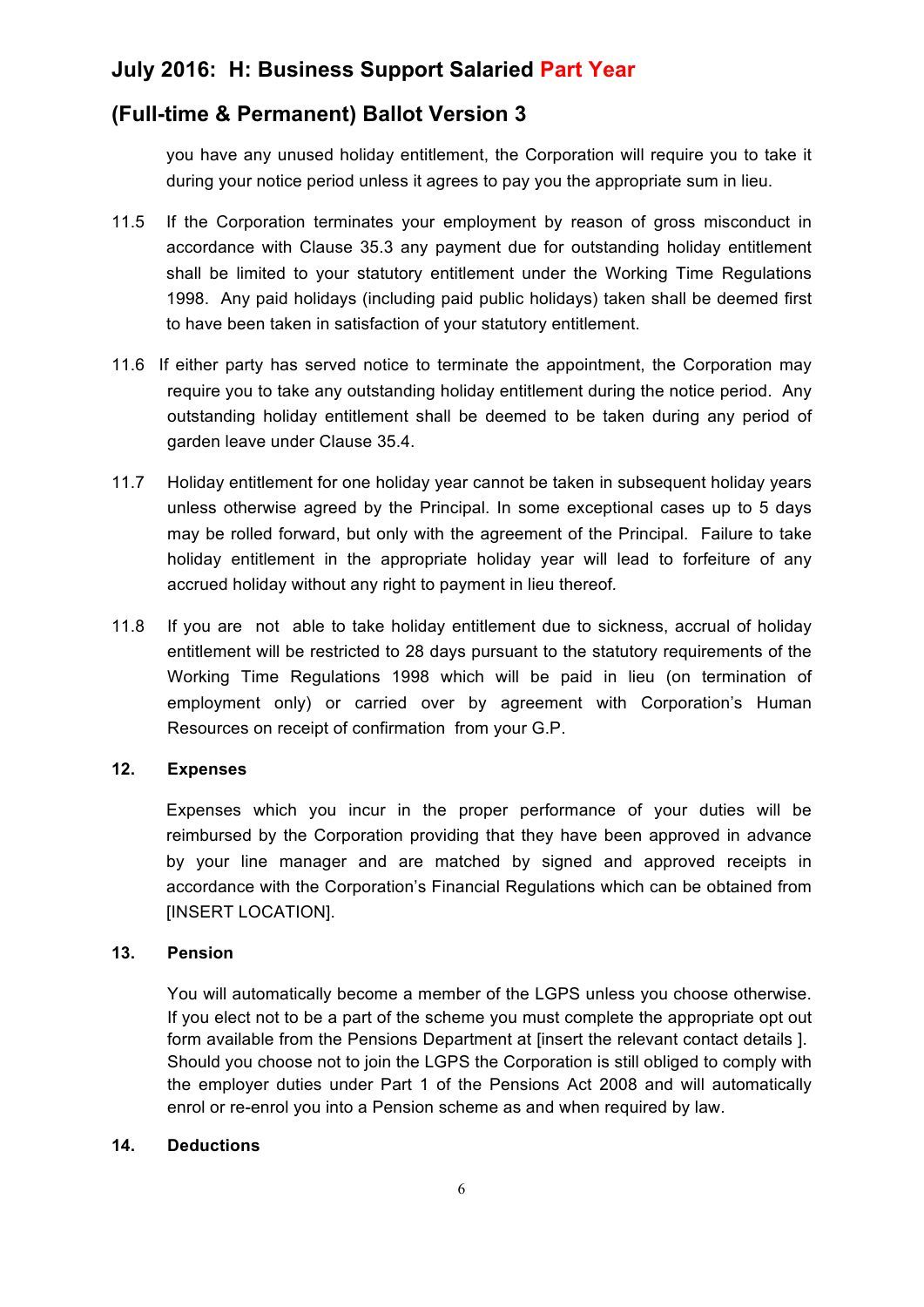### **(Full-time & Permanent) Ballot Version 3**

you have any unused holiday entitlement, the Corporation will require you to take it during your notice period unless it agrees to pay you the appropriate sum in lieu.

- 11.5 If the Corporation terminates your employment by reason of gross misconduct in accordance with Clause 35.3 any payment due for outstanding holiday entitlement shall be limited to your statutory entitlement under the Working Time Regulations 1998. Any paid holidays (including paid public holidays) taken shall be deemed first to have been taken in satisfaction of your statutory entitlement.
- 11.6 If either party has served notice to terminate the appointment, the Corporation may require you to take any outstanding holiday entitlement during the notice period. Any outstanding holiday entitlement shall be deemed to be taken during any period of garden leave under Clause 35.4.
- 11.7 Holiday entitlement for one holiday year cannot be taken in subsequent holiday years unless otherwise agreed by the Principal. In some exceptional cases up to 5 days may be rolled forward, but only with the agreement of the Principal. Failure to take holiday entitlement in the appropriate holiday year will lead to forfeiture of any accrued holiday without any right to payment in lieu thereof*.*
- 11.8 If you are not able to take holiday entitlement due to sickness, accrual of holiday entitlement will be restricted to 28 days pursuant to the statutory requirements of the Working Time Regulations 1998 which will be paid in lieu (on termination of employment only) or carried over by agreement with Corporation's Human Resources on receipt of confirmation from your G.P.

### **12. Expenses**

Expenses which you incur in the proper performance of your duties will be reimbursed by the Corporation providing that they have been approved in advance by your line manager and are matched by signed and approved receipts in accordance with the Corporation's Financial Regulations which can be obtained from [INSERT LOCATION].

### **13. Pension**

You will automatically become a member of the LGPS unless you choose otherwise. If you elect not to be a part of the scheme you must complete the appropriate opt out form available from the Pensions Department at [insert the relevant contact details ]. Should you choose not to join the LGPS the Corporation is still obliged to comply with the employer duties under Part 1 of the Pensions Act 2008 and will automatically enrol or re-enrol you into a Pension scheme as and when required by law.

#### **14. Deductions**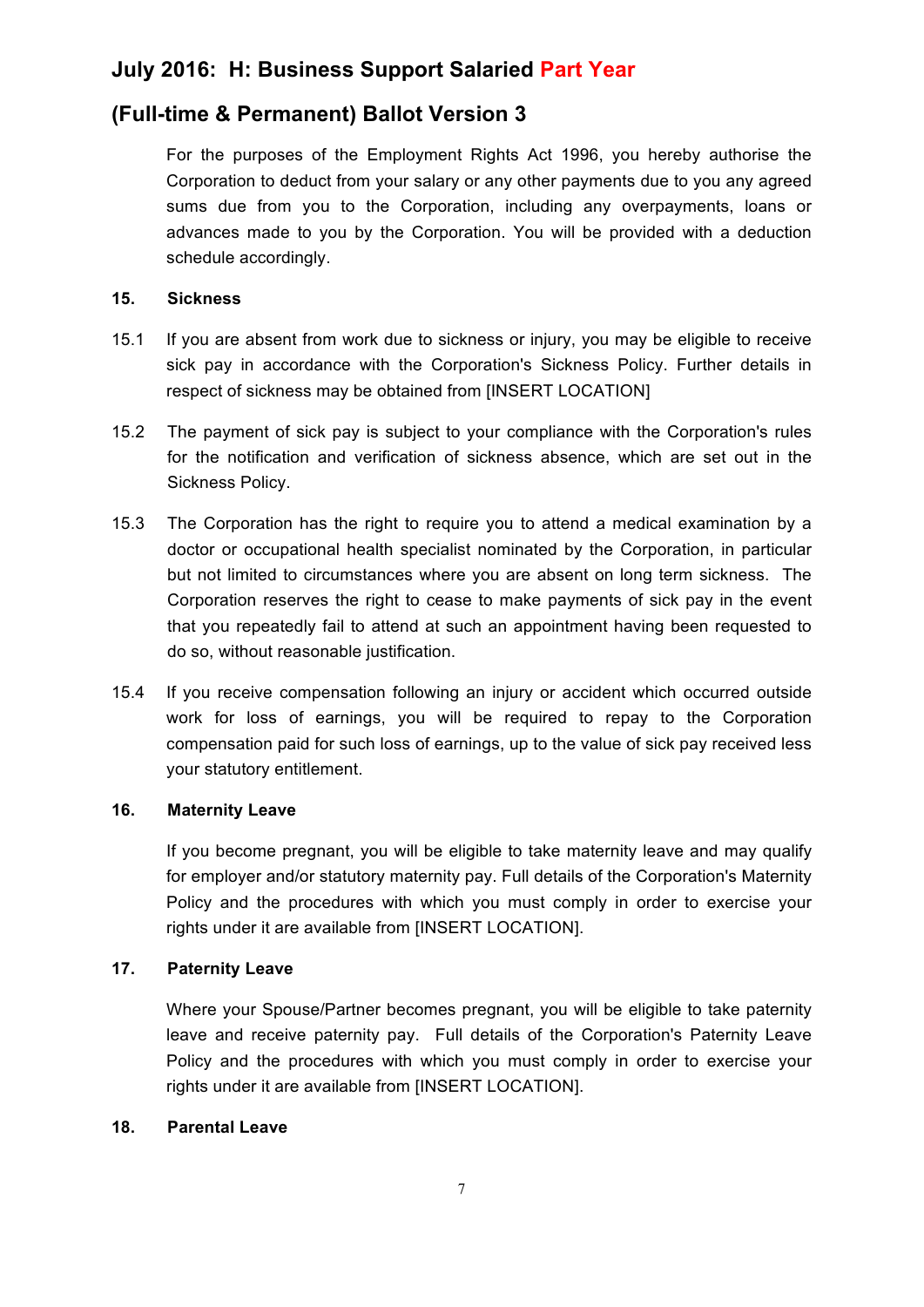### **(Full-time & Permanent) Ballot Version 3**

For the purposes of the Employment Rights Act 1996, you hereby authorise the Corporation to deduct from your salary or any other payments due to you any agreed sums due from you to the Corporation, including any overpayments, loans or advances made to you by the Corporation. You will be provided with a deduction schedule accordingly.

### **15. Sickness**

- 15.1 If you are absent from work due to sickness or injury, you may be eligible to receive sick pay in accordance with the Corporation's Sickness Policy. Further details in respect of sickness may be obtained from [INSERT LOCATION]
- 15.2 The payment of sick pay is subject to your compliance with the Corporation's rules for the notification and verification of sickness absence, which are set out in the Sickness Policy.
- 15.3 The Corporation has the right to require you to attend a medical examination by a doctor or occupational health specialist nominated by the Corporation, in particular but not limited to circumstances where you are absent on long term sickness. The Corporation reserves the right to cease to make payments of sick pay in the event that you repeatedly fail to attend at such an appointment having been requested to do so, without reasonable justification.
- 15.4 If you receive compensation following an injury or accident which occurred outside work for loss of earnings, you will be required to repay to the Corporation compensation paid for such loss of earnings, up to the value of sick pay received less your statutory entitlement.

#### **16. Maternity Leave**

If you become pregnant, you will be eligible to take maternity leave and may qualify for employer and/or statutory maternity pay. Full details of the Corporation's Maternity Policy and the procedures with which you must comply in order to exercise your rights under it are available from [INSERT LOCATION].

### **17. Paternity Leave**

Where your Spouse/Partner becomes pregnant, you will be eligible to take paternity leave and receive paternity pay. Full details of the Corporation's Paternity Leave Policy and the procedures with which you must comply in order to exercise your rights under it are available from [INSERT LOCATION].

#### **18. Parental Leave**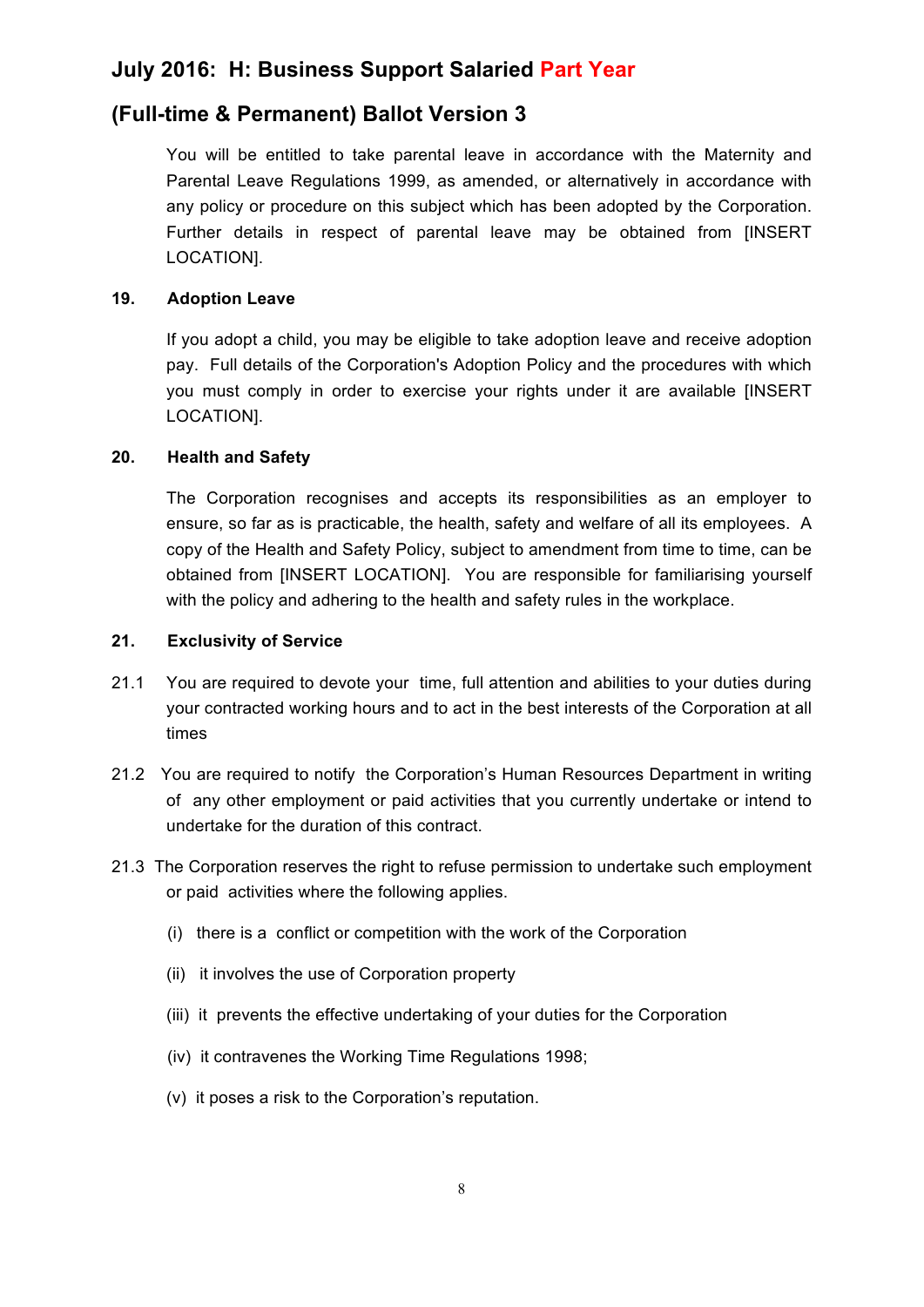### **(Full-time & Permanent) Ballot Version 3**

You will be entitled to take parental leave in accordance with the Maternity and Parental Leave Regulations 1999, as amended, or alternatively in accordance with any policy or procedure on this subject which has been adopted by the Corporation. Further details in respect of parental leave may be obtained from [INSERT LOCATION].

### **19. Adoption Leave**

If you adopt a child, you may be eligible to take adoption leave and receive adoption pay. Full details of the Corporation's Adoption Policy and the procedures with which you must comply in order to exercise your rights under it are available [INSERT LOCATION].

### **20. Health and Safety**

The Corporation recognises and accepts its responsibilities as an employer to ensure, so far as is practicable, the health, safety and welfare of all its employees. A copy of the Health and Safety Policy, subject to amendment from time to time, can be obtained from [INSERT LOCATION]. You are responsible for familiarising yourself with the policy and adhering to the health and safety rules in the workplace.

### **21. Exclusivity of Service**

- 21.1 You are required to devote your time, full attention and abilities to your duties during your contracted working hours and to act in the best interests of the Corporation at all times
- 21.2 You are required to notify the Corporation's Human Resources Department in writing of any other employment or paid activities that you currently undertake or intend to undertake for the duration of this contract.
- 21.3 The Corporation reserves the right to refuse permission to undertake such employment or paid activities where the following applies.
	- (i) there is a conflict or competition with the work of the Corporation
	- (ii) it involves the use of Corporation property
	- (iii) it prevents the effective undertaking of your duties for the Corporation
	- (iv) it contravenes the Working Time Regulations 1998;
	- (v) it poses a risk to the Corporation's reputation.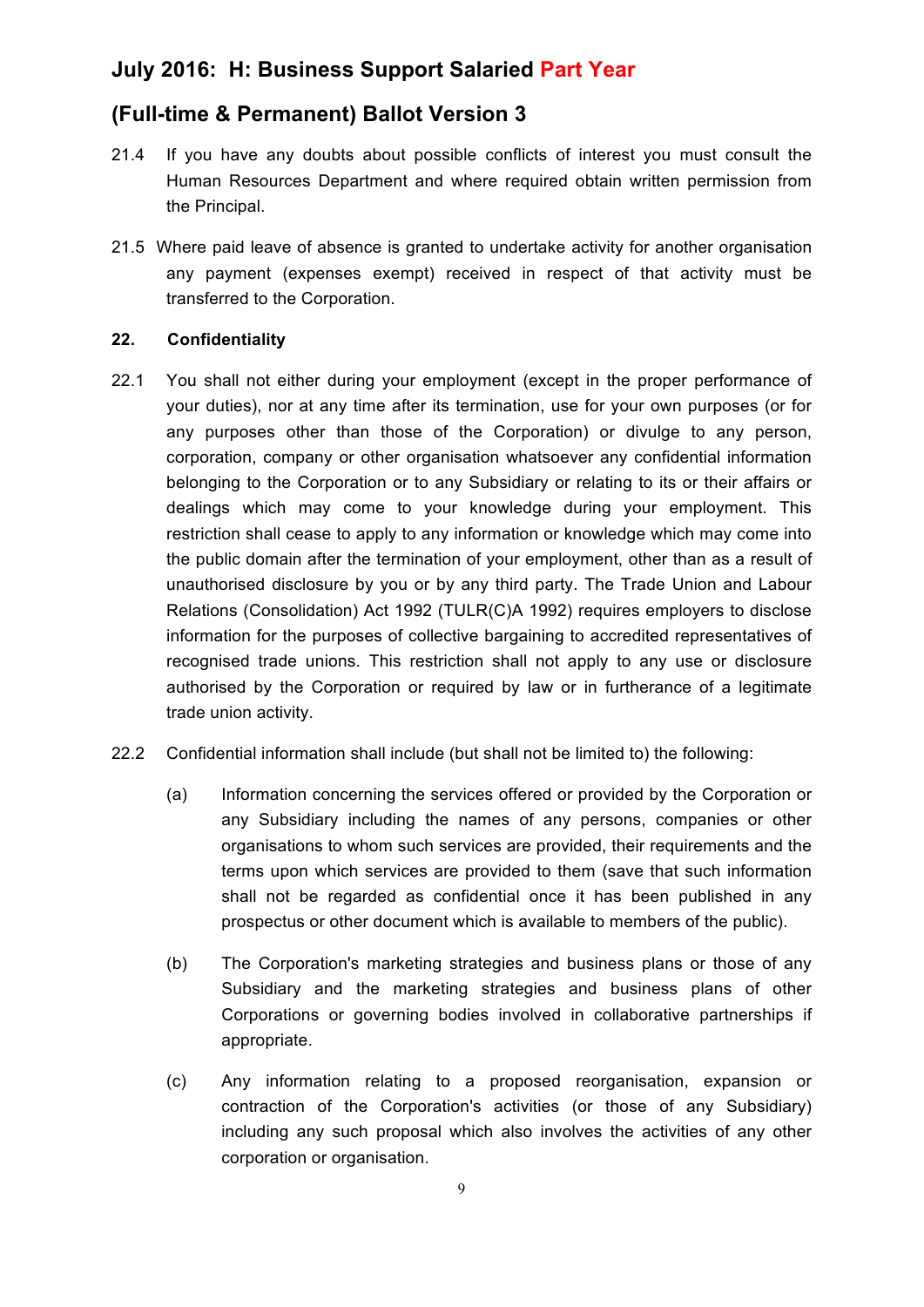### **(Full-time & Permanent) Ballot Version 3**

- 21.4 If you have any doubts about possible conflicts of interest you must consult the Human Resources Department and where required obtain written permission from the Principal.
- 21.5 Where paid leave of absence is granted to undertake activity for another organisation any payment (expenses exempt) received in respect of that activity must be transferred to the Corporation.

#### **22. Confidentiality**

- 22.1 You shall not either during your employment (except in the proper performance of your duties), nor at any time after its termination, use for your own purposes (or for any purposes other than those of the Corporation) or divulge to any person, corporation, company or other organisation whatsoever any confidential information belonging to the Corporation or to any Subsidiary or relating to its or their affairs or dealings which may come to your knowledge during your employment. This restriction shall cease to apply to any information or knowledge which may come into the public domain after the termination of your employment, other than as a result of unauthorised disclosure by you or by any third party. The Trade Union and Labour Relations (Consolidation) Act 1992 (TULR(C)A 1992) requires employers to disclose information for the purposes of collective bargaining to accredited representatives of recognised trade unions. This restriction shall not apply to any use or disclosure authorised by the Corporation or required by law or in furtherance of a legitimate trade union activity.
- 22.2 Confidential information shall include (but shall not be limited to) the following:
	- (a) Information concerning the services offered or provided by the Corporation or any Subsidiary including the names of any persons, companies or other organisations to whom such services are provided, their requirements and the terms upon which services are provided to them (save that such information shall not be regarded as confidential once it has been published in any prospectus or other document which is available to members of the public).
	- (b) The Corporation's marketing strategies and business plans or those of any Subsidiary and the marketing strategies and business plans of other Corporations or governing bodies involved in collaborative partnerships if appropriate.
	- (c) Any information relating to a proposed reorganisation, expansion or contraction of the Corporation's activities (or those of any Subsidiary) including any such proposal which also involves the activities of any other corporation or organisation.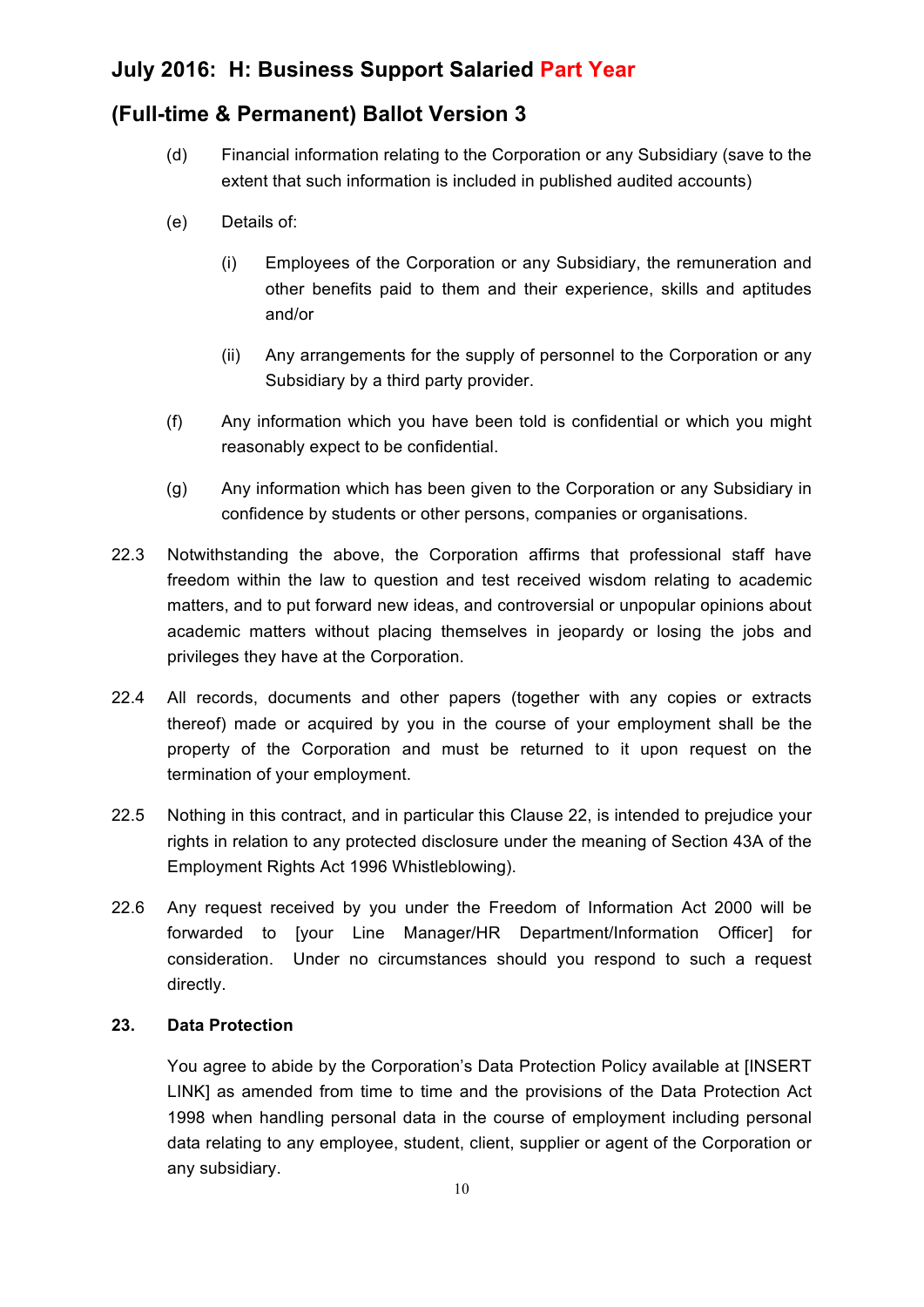### **(Full-time & Permanent) Ballot Version 3**

- (d) Financial information relating to the Corporation or any Subsidiary (save to the extent that such information is included in published audited accounts)
- (e) Details of:
	- (i) Employees of the Corporation or any Subsidiary, the remuneration and other benefits paid to them and their experience, skills and aptitudes and/or
	- (ii) Any arrangements for the supply of personnel to the Corporation or any Subsidiary by a third party provider.
- (f) Any information which you have been told is confidential or which you might reasonably expect to be confidential.
- (g) Any information which has been given to the Corporation or any Subsidiary in confidence by students or other persons, companies or organisations.
- 22.3 Notwithstanding the above, the Corporation affirms that professional staff have freedom within the law to question and test received wisdom relating to academic matters, and to put forward new ideas, and controversial or unpopular opinions about academic matters without placing themselves in jeopardy or losing the jobs and privileges they have at the Corporation.
- 22.4 All records, documents and other papers (together with any copies or extracts thereof) made or acquired by you in the course of your employment shall be the property of the Corporation and must be returned to it upon request on the termination of your employment.
- 22.5 Nothing in this contract, and in particular this Clause 22, is intended to prejudice your rights in relation to any protected disclosure under the meaning of Section 43A of the Employment Rights Act 1996 Whistleblowing).
- 22.6 Any request received by you under the Freedom of Information Act 2000 will be forwarded to [your Line Manager/HR Department/Information Officer] for consideration. Under no circumstances should you respond to such a request directly.

### **23. Data Protection**

You agree to abide by the Corporation's Data Protection Policy available at [INSERT LINK] as amended from time to time and the provisions of the Data Protection Act 1998 when handling personal data in the course of employment including personal data relating to any employee, student, client, supplier or agent of the Corporation or any subsidiary.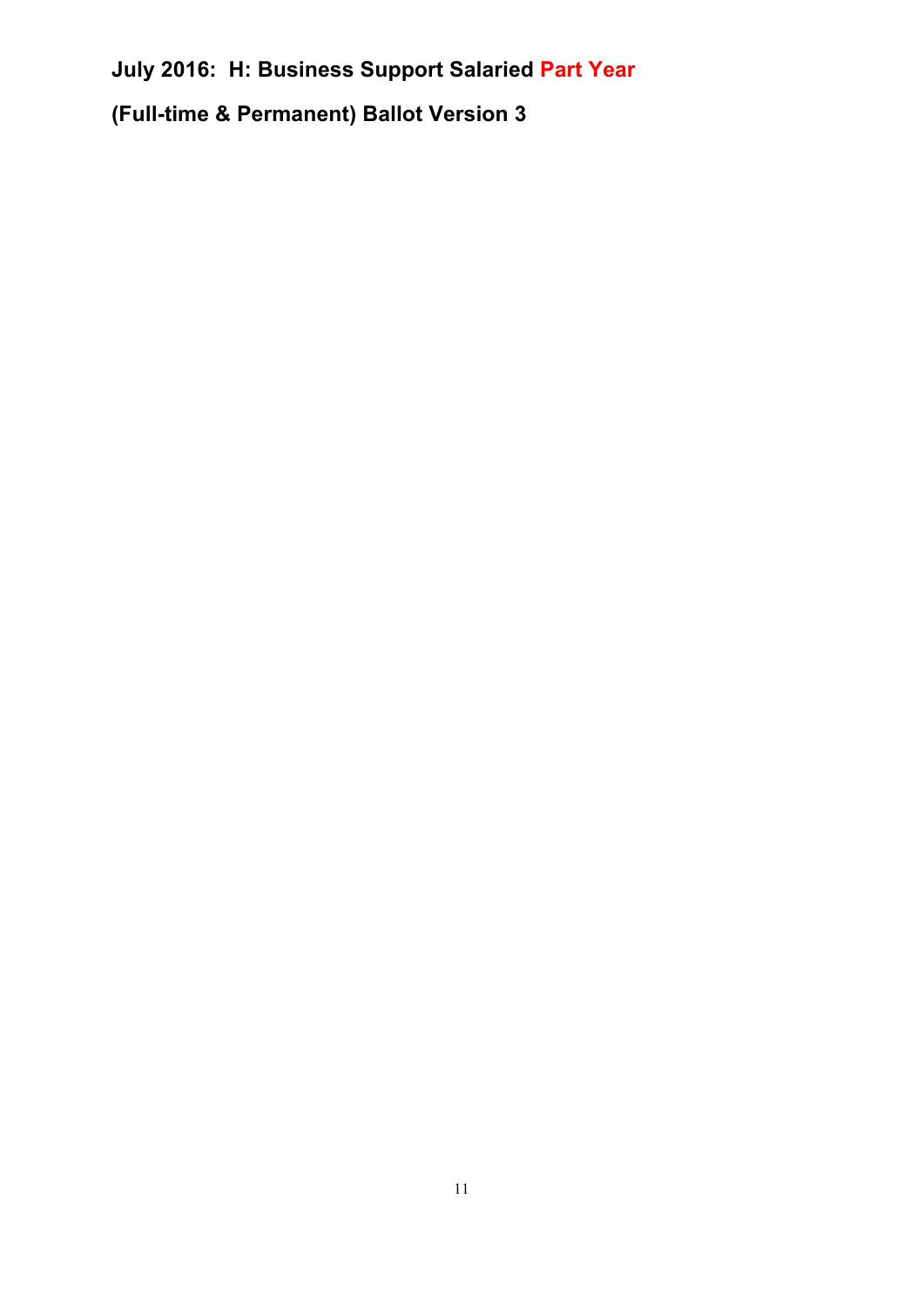# **(Full-time & Permanent) Ballot Version 3**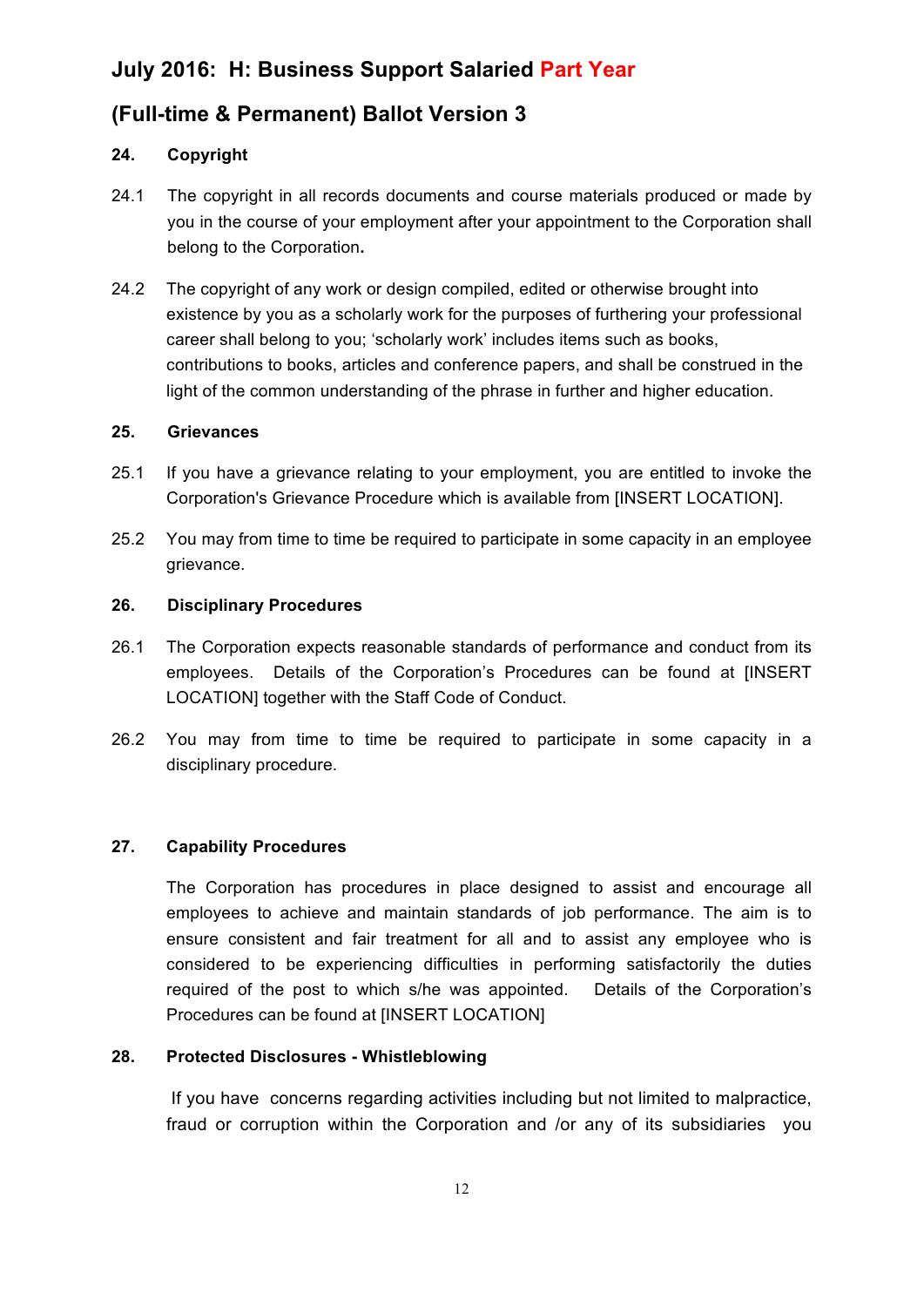### **(Full-time & Permanent) Ballot Version 3**

### **24. Copyright**

- 24.1 The copyright in all records documents and course materials produced or made by you in the course of your employment after your appointment to the Corporation shall belong to the Corporation**.**
- 24.2 The copyright of any work or design compiled, edited or otherwise brought into existence by you as a scholarly work for the purposes of furthering your professional career shall belong to you; 'scholarly work' includes items such as books, contributions to books, articles and conference papers, and shall be construed in the light of the common understanding of the phrase in further and higher education.

#### **25. Grievances**

- 25.1 If you have a grievance relating to your employment, you are entitled to invoke the Corporation's Grievance Procedure which is available from [INSERT LOCATION].
- 25.2 You may from time to time be required to participate in some capacity in an employee grievance.

### **26. Disciplinary Procedures**

- 26.1 The Corporation expects reasonable standards of performance and conduct from its employees. Details of the Corporation's Procedures can be found at [INSERT LOCATION] together with the Staff Code of Conduct.
- 26.2 You may from time to time be required to participate in some capacity in a disciplinary procedure.

### **27. Capability Procedures**

The Corporation has procedures in place designed to assist and encourage all employees to achieve and maintain standards of job performance. The aim is to ensure consistent and fair treatment for all and to assist any employee who is considered to be experiencing difficulties in performing satisfactorily the duties required of the post to which s/he was appointed. Details of the Corporation's Procedures can be found at IINSERT LOCATIONI

### **28. Protected Disclosures - Whistleblowing**

If you have concerns regarding activities including but not limited to malpractice, fraud or corruption within the Corporation and /or any of its subsidiaries you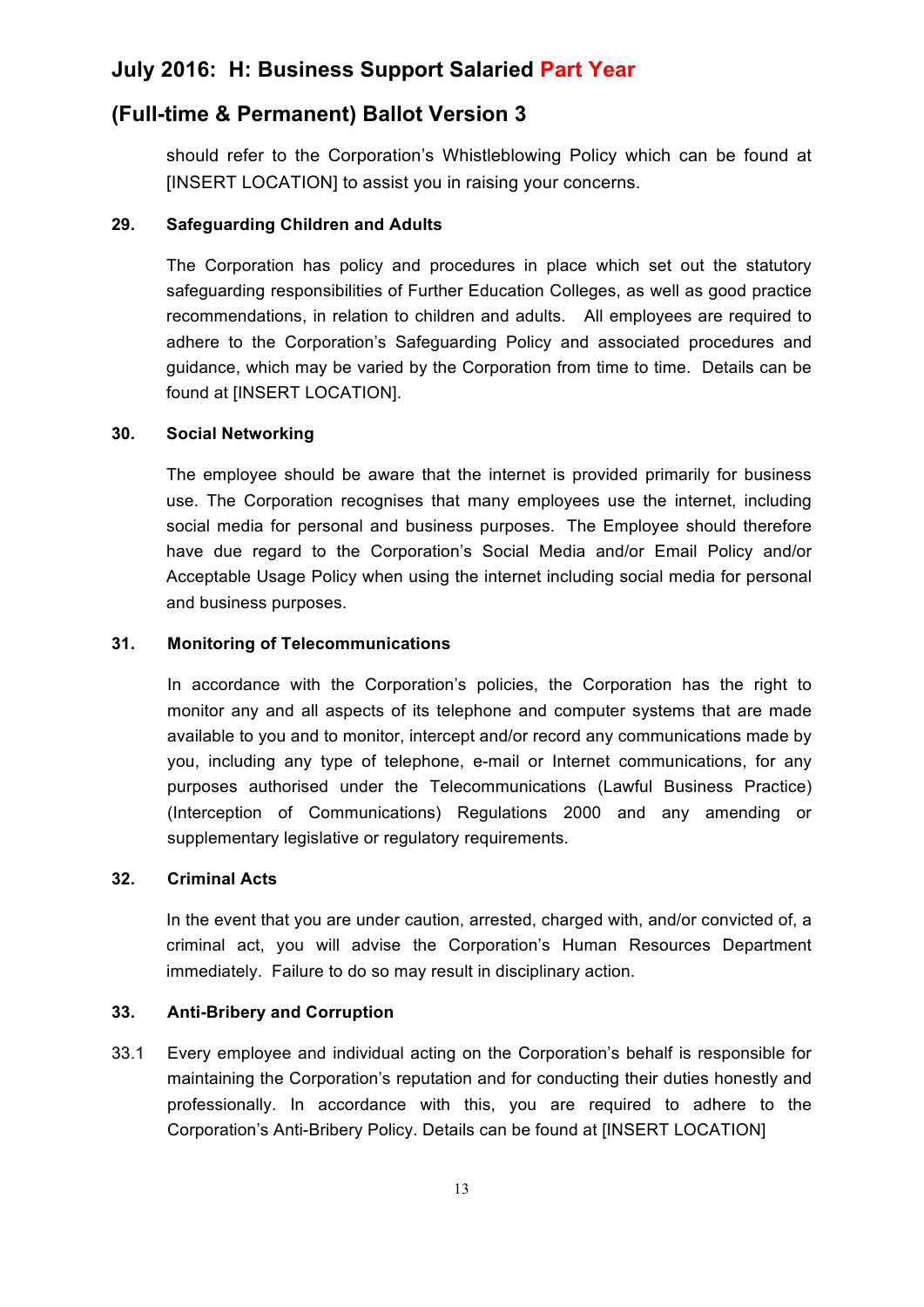### **(Full-time & Permanent) Ballot Version 3**

should refer to the Corporation's Whistleblowing Policy which can be found at [INSERT LOCATION] to assist you in raising your concerns.

#### **29. Safeguarding Children and Adults**

The Corporation has policy and procedures in place which set out the statutory safeguarding responsibilities of Further Education Colleges, as well as good practice recommendations, in relation to children and adults. All employees are required to adhere to the Corporation's Safeguarding Policy and associated procedures and guidance, which may be varied by the Corporation from time to time. Details can be found at [INSERT LOCATION].

#### **30. Social Networking**

The employee should be aware that the internet is provided primarily for business use. The Corporation recognises that many employees use the internet, including social media for personal and business purposes. The Employee should therefore have due regard to the Corporation's Social Media and/or Email Policy and/or Acceptable Usage Policy when using the internet including social media for personal and business purposes.

#### **31. Monitoring of Telecommunications**

In accordance with the Corporation's policies, the Corporation has the right to monitor any and all aspects of its telephone and computer systems that are made available to you and to monitor, intercept and/or record any communications made by you, including any type of telephone, e-mail or Internet communications, for any purposes authorised under the Telecommunications (Lawful Business Practice) (Interception of Communications) Regulations 2000 and any amending or supplementary legislative or regulatory requirements.

#### **32. Criminal Acts**

In the event that you are under caution, arrested, charged with, and/or convicted of, a criminal act, you will advise the Corporation's Human Resources Department immediately. Failure to do so may result in disciplinary action.

#### **33. Anti-Bribery and Corruption**

33.1 Every employee and individual acting on the Corporation's behalf is responsible for maintaining the Corporation's reputation and for conducting their duties honestly and professionally. In accordance with this, you are required to adhere to the Corporation's Anti-Bribery Policy. Details can be found at [INSERT LOCATION]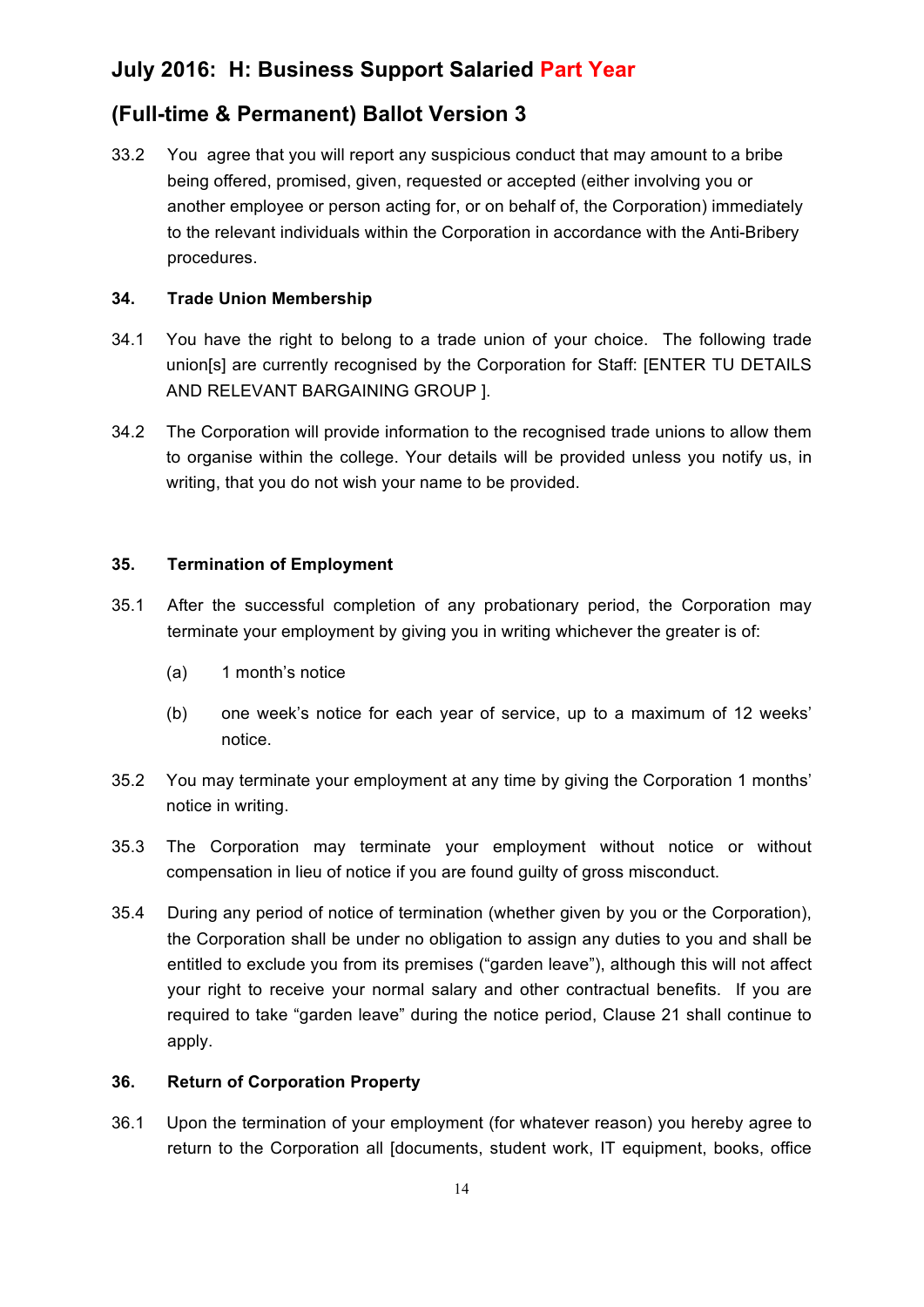### **(Full-time & Permanent) Ballot Version 3**

33.2 You agree that you will report any suspicious conduct that may amount to a bribe being offered, promised, given, requested or accepted (either involving you or another employee or person acting for, or on behalf of, the Corporation) immediately to the relevant individuals within the Corporation in accordance with the Anti-Bribery procedures.

### **34. Trade Union Membership**

- 34.1 You have the right to belong to a trade union of your choice. The following trade union[s] are currently recognised by the Corporation for Staff: [ENTER TU DETAILS AND RELEVANT BARGAINING GROUP ].
- 34.2 The Corporation will provide information to the recognised trade unions to allow them to organise within the college. Your details will be provided unless you notify us, in writing, that you do not wish your name to be provided.

### **35. Termination of Employment**

- 35.1 After the successful completion of any probationary period, the Corporation may terminate your employment by giving you in writing whichever the greater is of:
	- (a) 1 month's notice
	- (b) one week's notice for each year of service, up to a maximum of 12 weeks' notice.
- 35.2 You may terminate your employment at any time by giving the Corporation 1 months' notice in writing.
- 35.3 The Corporation may terminate your employment without notice or without compensation in lieu of notice if you are found guilty of gross misconduct.
- 35.4 During any period of notice of termination (whether given by you or the Corporation), the Corporation shall be under no obligation to assign any duties to you and shall be entitled to exclude you from its premises ("garden leave"), although this will not affect your right to receive your normal salary and other contractual benefits. If you are required to take "garden leave" during the notice period, Clause 21 shall continue to apply.

### **36. Return of Corporation Property**

36.1 Upon the termination of your employment (for whatever reason) you hereby agree to return to the Corporation all [documents, student work, IT equipment, books, office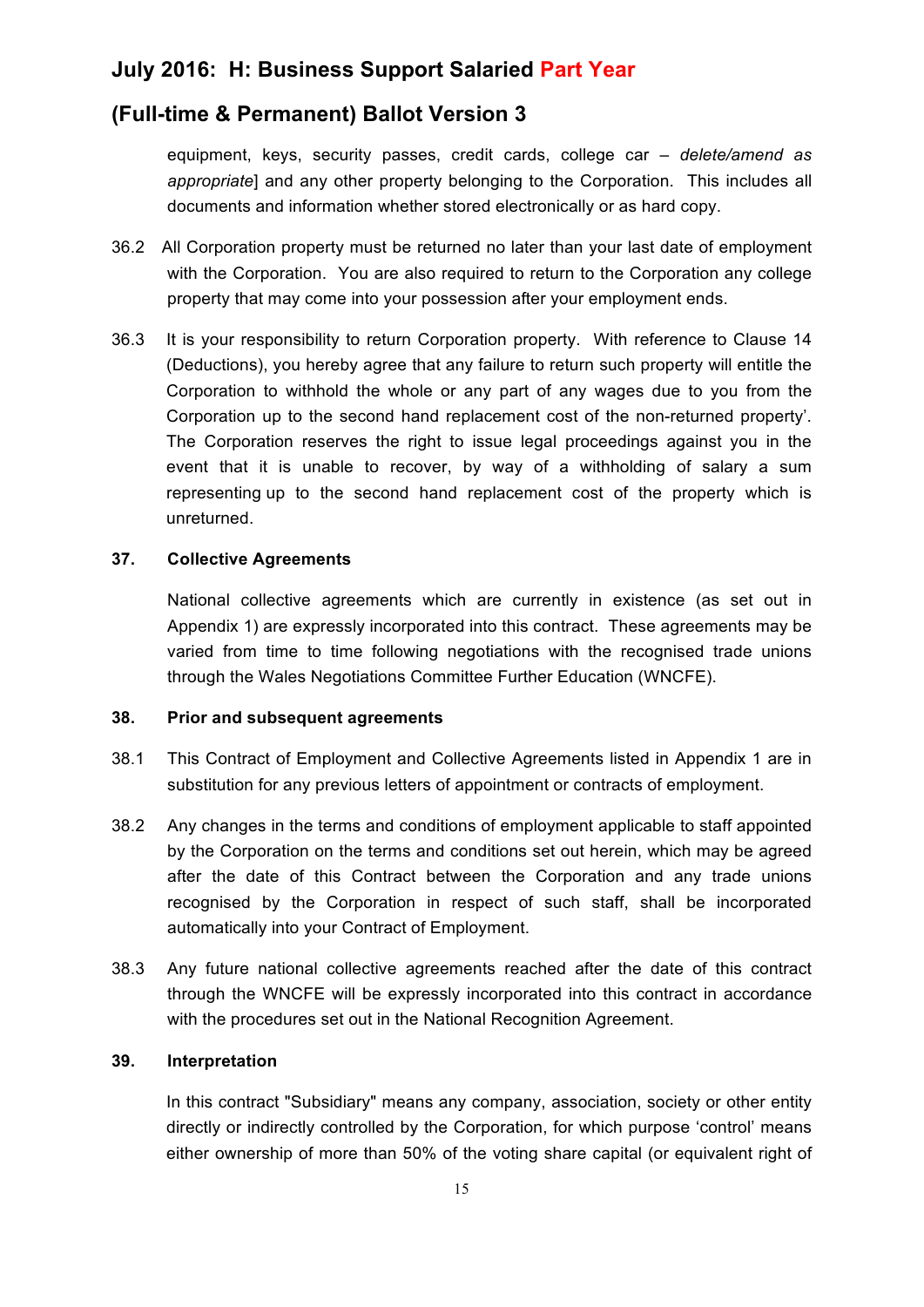### **(Full-time & Permanent) Ballot Version 3**

equipment, keys, security passes, credit cards, college car *– delete/amend as appropriate*] and any other property belonging to the Corporation. This includes all documents and information whether stored electronically or as hard copy.

- 36.2 All Corporation property must be returned no later than your last date of employment with the Corporation. You are also required to return to the Corporation any college property that may come into your possession after your employment ends.
- 36.3 It is your responsibility to return Corporation property. With reference to Clause 14 (Deductions), you hereby agree that any failure to return such property will entitle the Corporation to withhold the whole or any part of any wages due to you from the Corporation up to the second hand replacement cost of the non-returned property'. The Corporation reserves the right to issue legal proceedings against you in the event that it is unable to recover, by way of a withholding of salary a sum representing up to the second hand replacement cost of the property which is unreturned.

#### **37. Collective Agreements**

National collective agreements which are currently in existence (as set out in Appendix 1) are expressly incorporated into this contract. These agreements may be varied from time to time following negotiations with the recognised trade unions through the Wales Negotiations Committee Further Education (WNCFE).

#### **38. Prior and subsequent agreements**

- 38.1 This Contract of Employment and Collective Agreements listed in Appendix 1 are in substitution for any previous letters of appointment or contracts of employment.
- 38.2 Any changes in the terms and conditions of employment applicable to staff appointed by the Corporation on the terms and conditions set out herein, which may be agreed after the date of this Contract between the Corporation and any trade unions recognised by the Corporation in respect of such staff, shall be incorporated automatically into your Contract of Employment.
- 38.3 Any future national collective agreements reached after the date of this contract through the WNCFE will be expressly incorporated into this contract in accordance with the procedures set out in the National Recognition Agreement.

#### **39. Interpretation**

In this contract "Subsidiary" means any company, association, society or other entity directly or indirectly controlled by the Corporation, for which purpose 'control' means either ownership of more than 50% of the voting share capital (or equivalent right of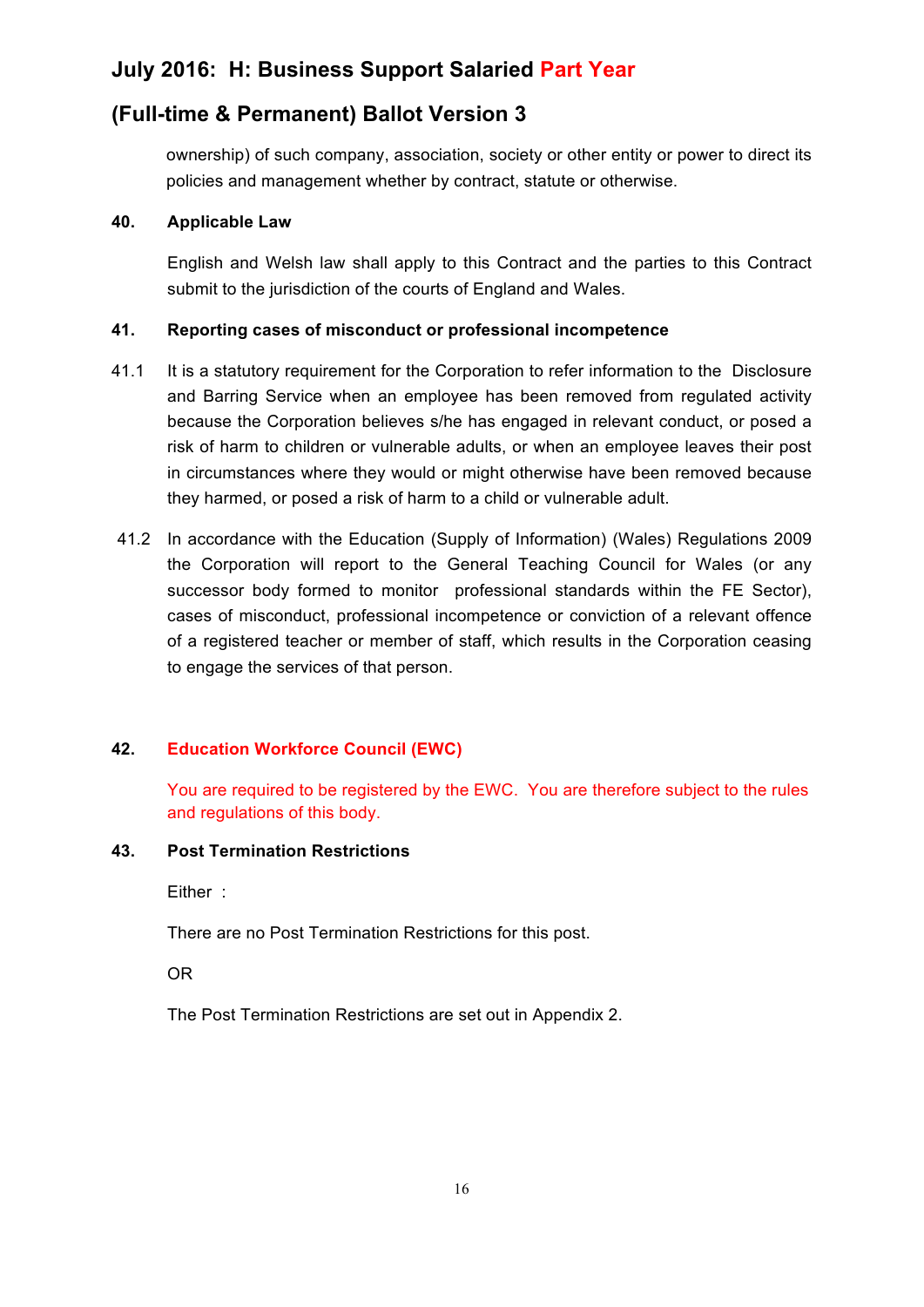### **(Full-time & Permanent) Ballot Version 3**

ownership) of such company, association, society or other entity or power to direct its policies and management whether by contract, statute or otherwise.

#### **40. Applicable Law**

English and Welsh law shall apply to this Contract and the parties to this Contract submit to the jurisdiction of the courts of England and Wales.

#### **41. Reporting cases of misconduct or professional incompetence**

- 41.1 It is a statutory requirement for the Corporation to refer information to the Disclosure and Barring Service when an employee has been removed from regulated activity because the Corporation believes s/he has engaged in relevant conduct, or posed a risk of harm to children or vulnerable adults, or when an employee leaves their post in circumstances where they would or might otherwise have been removed because they harmed, or posed a risk of harm to a child or vulnerable adult.
- 41.2 In accordance with the Education (Supply of Information) (Wales) Regulations 2009 the Corporation will report to the General Teaching Council for Wales (or any successor body formed to monitor professional standards within the FE Sector), cases of misconduct, professional incompetence or conviction of a relevant offence of a registered teacher or member of staff, which results in the Corporation ceasing to engage the services of that person.

### **42. Education Workforce Council (EWC)**

You are required to be registered by the EWC. You are therefore subject to the rules and regulations of this body.

#### **43. Post Termination Restrictions**

Either :

There are no Post Termination Restrictions for this post.

OR

The Post Termination Restrictions are set out in Appendix 2.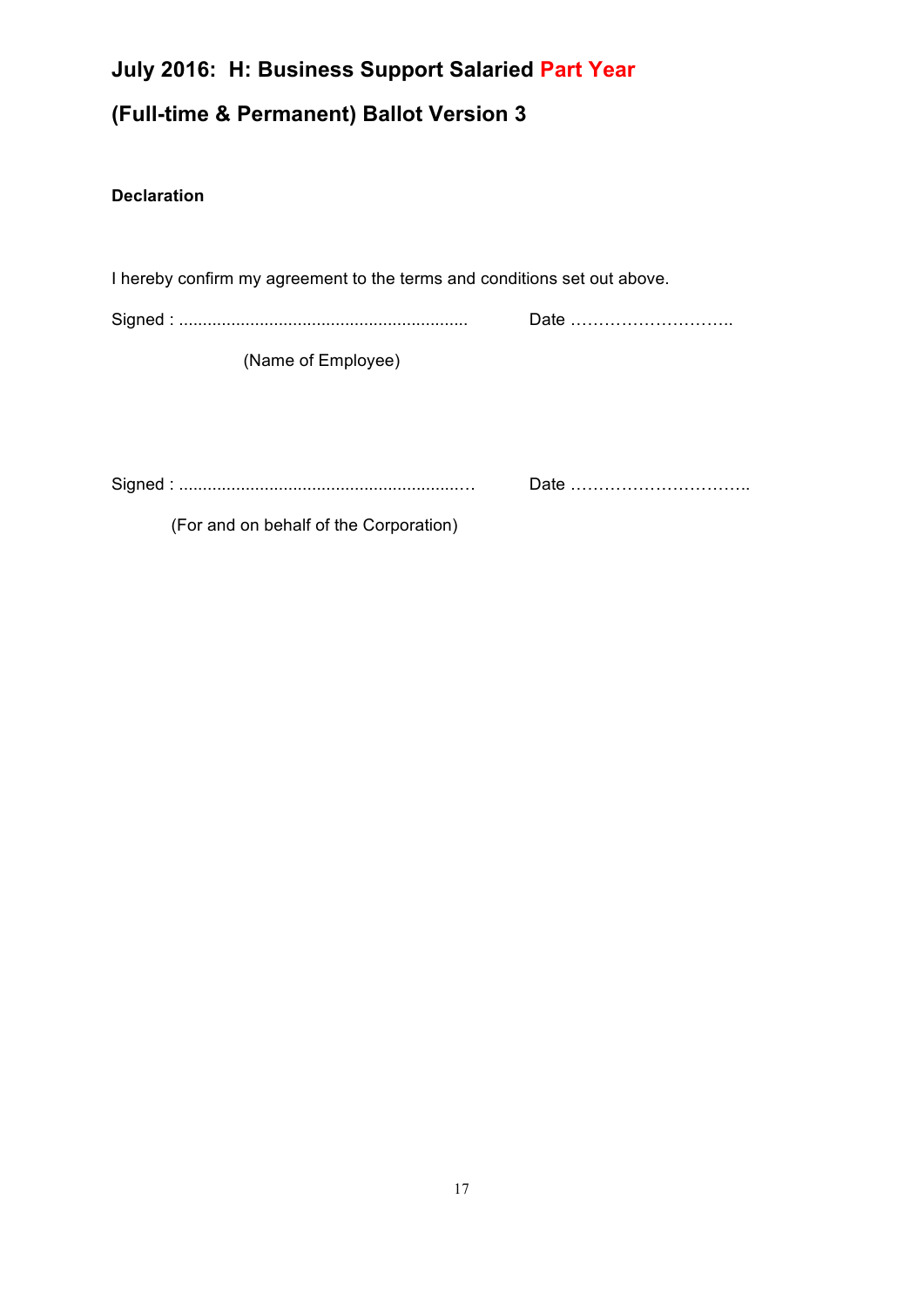# **July 2016: H: Business Support Salaried Part Year (Full-time & Permanent) Ballot Version 3**

### **Declaration**

I hereby confirm my agreement to the terms and conditions set out above.

Signed : ............................................................. Date ………………………..

(Name of Employee)

Signed : ...........................................................… Date …………………………..

(For and on behalf of the Corporation)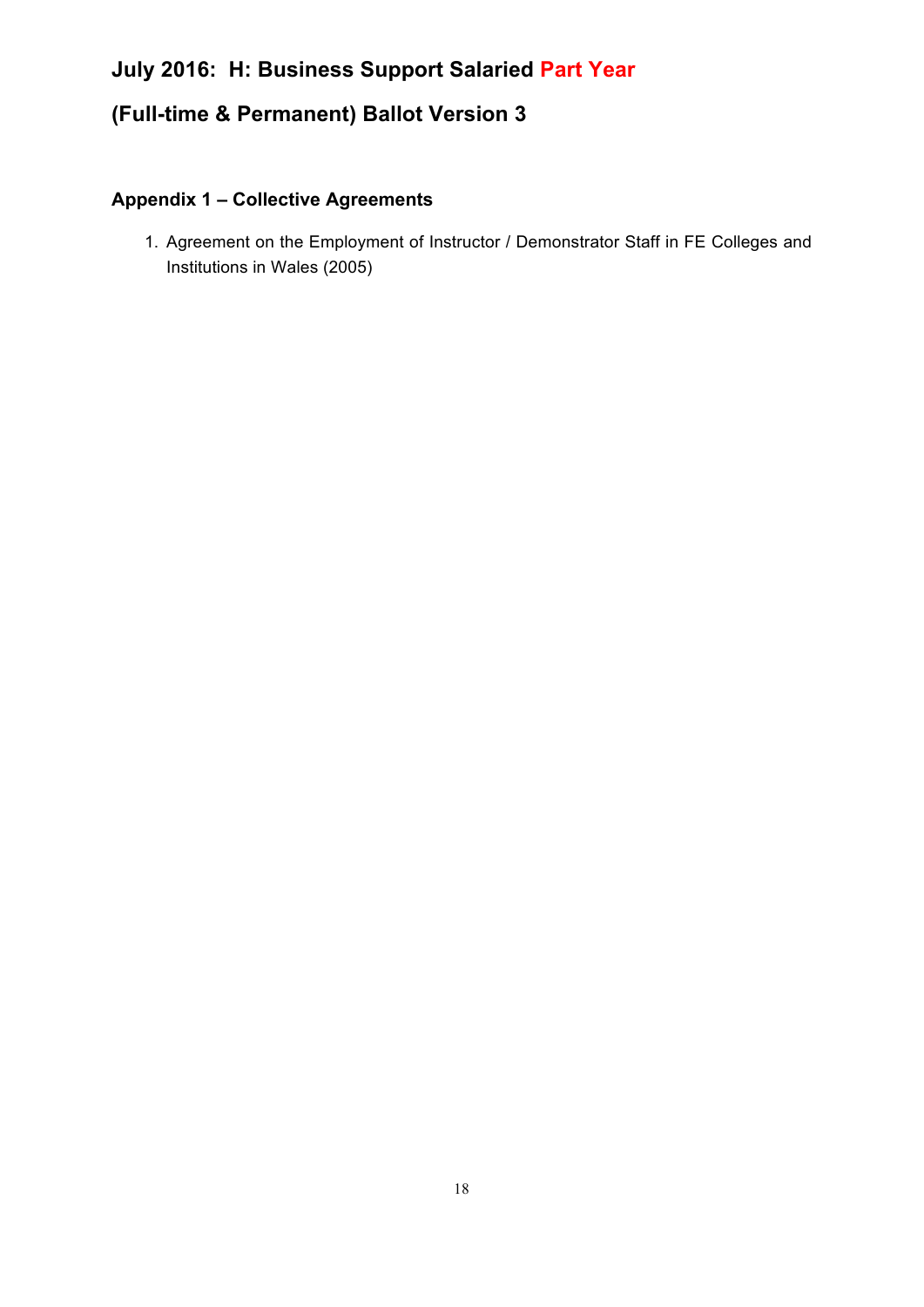### **(Full-time & Permanent) Ballot Version 3**

### **Appendix 1 – Collective Agreements**

1. Agreement on the Employment of Instructor / Demonstrator Staff in FE Colleges and Institutions in Wales (2005)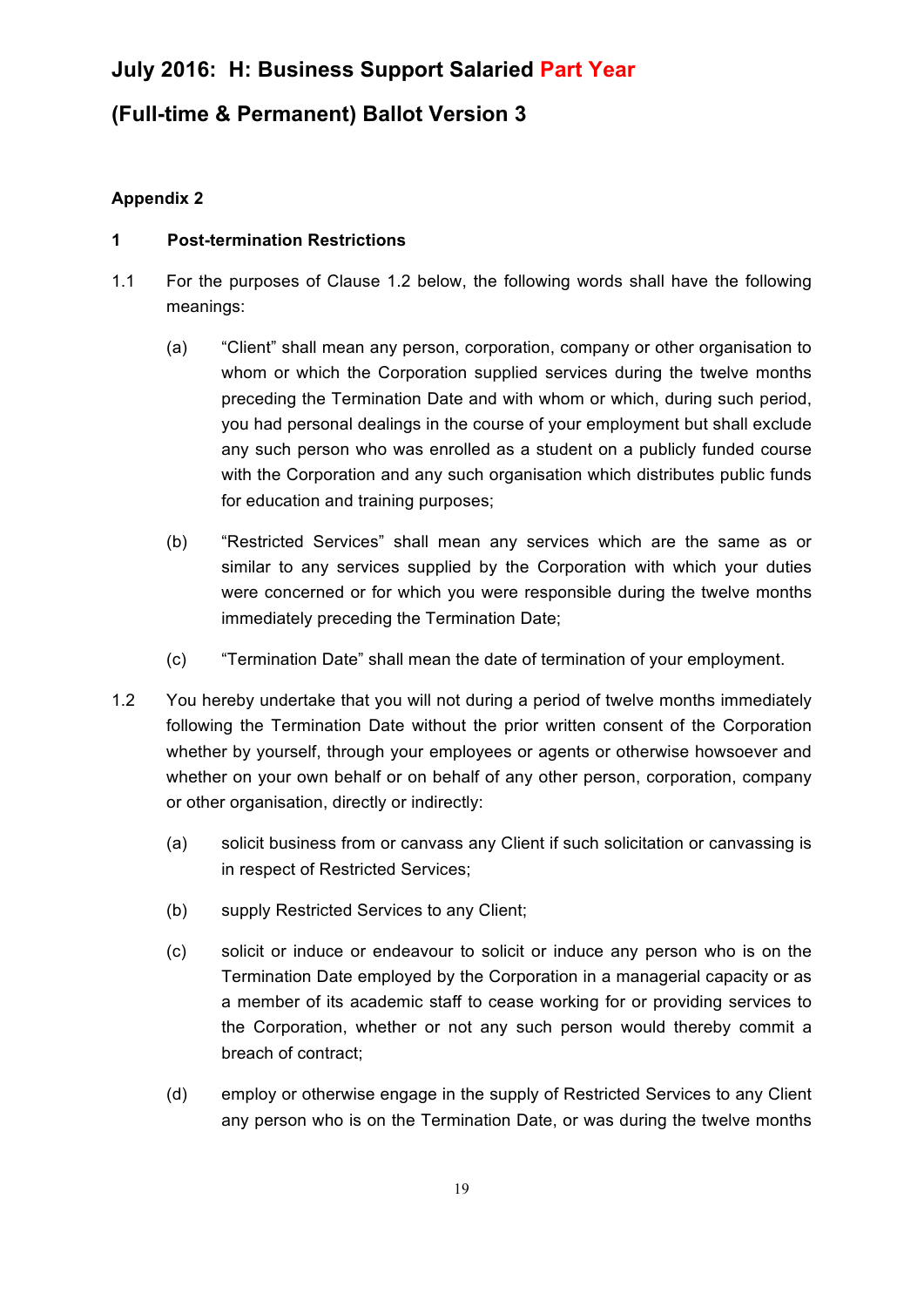### **(Full-time & Permanent) Ballot Version 3**

### **Appendix 2**

#### **1 Post-termination Restrictions**

- 1.1 For the purposes of Clause 1.2 below, the following words shall have the following meanings:
	- (a) "Client" shall mean any person, corporation, company or other organisation to whom or which the Corporation supplied services during the twelve months preceding the Termination Date and with whom or which, during such period, you had personal dealings in the course of your employment but shall exclude any such person who was enrolled as a student on a publicly funded course with the Corporation and any such organisation which distributes public funds for education and training purposes;
	- (b) "Restricted Services" shall mean any services which are the same as or similar to any services supplied by the Corporation with which your duties were concerned or for which you were responsible during the twelve months immediately preceding the Termination Date;
	- (c) "Termination Date" shall mean the date of termination of your employment.
- 1.2 You hereby undertake that you will not during a period of twelve months immediately following the Termination Date without the prior written consent of the Corporation whether by yourself, through your employees or agents or otherwise howsoever and whether on your own behalf or on behalf of any other person, corporation, company or other organisation, directly or indirectly:
	- (a) solicit business from or canvass any Client if such solicitation or canvassing is in respect of Restricted Services;
	- (b) supply Restricted Services to any Client;
	- (c) solicit or induce or endeavour to solicit or induce any person who is on the Termination Date employed by the Corporation in a managerial capacity or as a member of its academic staff to cease working for or providing services to the Corporation, whether or not any such person would thereby commit a breach of contract;
	- (d) employ or otherwise engage in the supply of Restricted Services to any Client any person who is on the Termination Date, or was during the twelve months